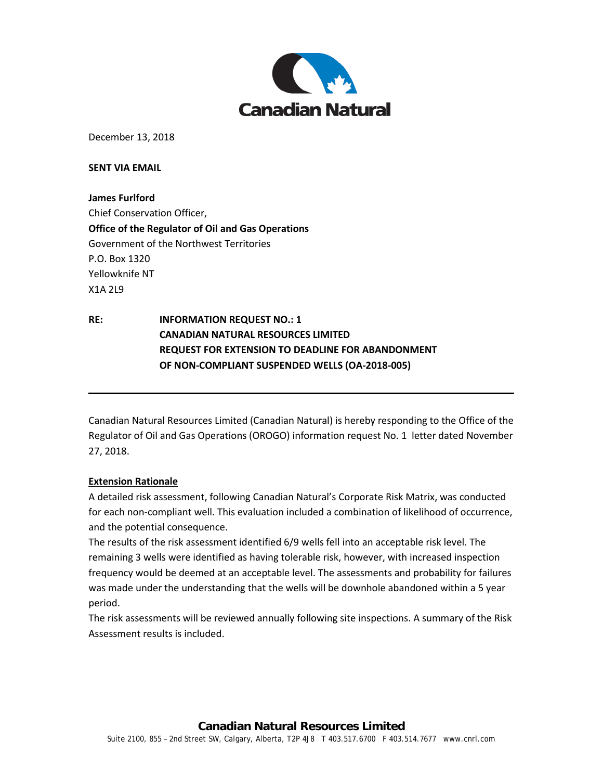

December 13, 2018

**SENT VIA EMAIL** 

**James Furlford** Chief Conservation Officer, **Office of the Regulator of Oil and Gas Operations** Government of the Northwest Territories P.O. Box 1320 Yellowknife NT X1A 2L9

**RE: INFORMATION REQUEST NO.: 1 CANADIAN NATURAL RESOURCES LIMITED REQUEST FOR EXTENSION TO DEADLINE FOR ABANDONMENT OF NON-COMPLIANT SUSPENDED WELLS (OA-2018-005)**

Canadian Natural Resources Limited (Canadian Natural) is hereby responding to the Office of the Regulator of Oil and Gas Operations (OROGO) information request No. 1 letter dated November 27, 2018.

#### **Extension Rationale**

A detailed risk assessment, following Canadian Natural's Corporate Risk Matrix, was conducted for each non-compliant well. This evaluation included a combination of likelihood of occurrence, and the potential consequence.

The results of the risk assessment identified 6/9 wells fell into an acceptable risk level. The remaining 3 wells were identified as having tolerable risk, however, with increased inspection frequency would be deemed at an acceptable level. The assessments and probability for failures was made under the understanding that the wells will be downhole abandoned within a 5 year period.

The risk assessments will be reviewed annually following site inspections. A summary of the Risk Assessment results is included.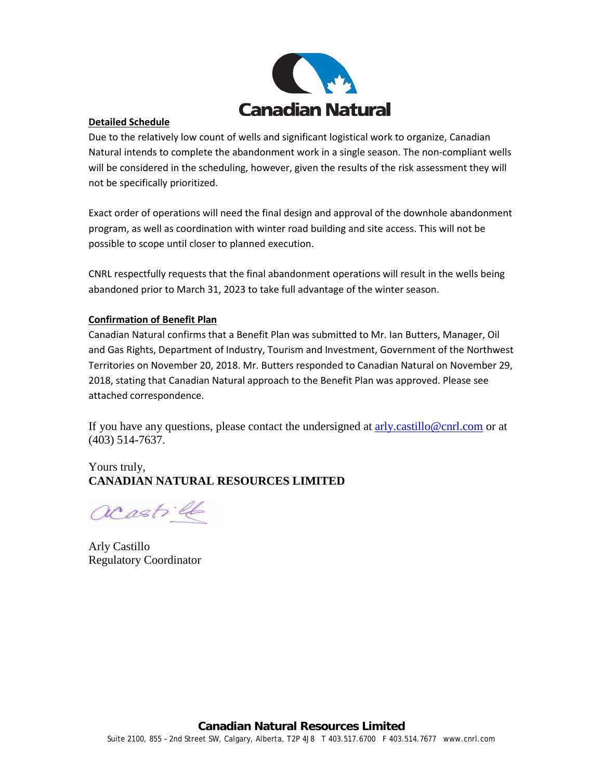

### **Detailed Schedule**

Due to the relatively low count of wells and significant logistical work to organize, Canadian Natural intends to complete the abandonment work in a single season. The non-compliant wells will be considered in the scheduling, however, given the results of the risk assessment they will not be specifically prioritized.

Exact order of operations will need the final design and approval of the downhole abandonment program, as well as coordination with winter road building and site access. This will not be possible to scope until closer to planned execution.

CNRL respectfully requests that the final abandonment operations will result in the wells being abandoned prior to March 31, 2023 to take full advantage of the winter season.

## **Confirmation of Benefit Plan**

Canadian Natural confirms that a Benefit Plan was submitted to Mr. Ian Butters, Manager, Oil and Gas Rights, Department of Industry, Tourism and Investment, Government of the Northwest Territories on November 20, 2018. Mr. Butters responded to Canadian Natural on November 29, 2018, stating that Canadian Natural approach to the Benefit Plan was approved. Please see attached correspondence.

If you have any questions, please contact the undersigned at [arly.castillo@cnrl.com](mailto:arly.castillo@cnrl.com) or at (403) 514-7637.

# Yours truly, **CANADIAN NATURAL RESOURCES LIMITED**

acastill

Arly Castillo Regulatory Coordinator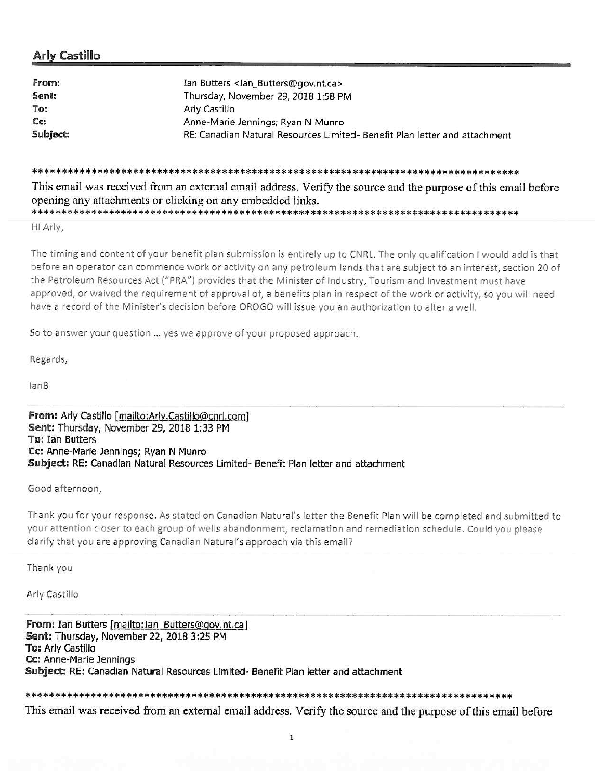# **Arly Castillo**

| From:    | Ian Butters <ian_butters@gov.nt.ca></ian_butters@gov.nt.ca>                |
|----------|----------------------------------------------------------------------------|
| Sent:    | Thursday, November 29, 2018 1:58 PM                                        |
| To:      | Arly Castillo                                                              |
| Cc:      | Anne-Marie Jennings; Ryan N Munro                                          |
| Subject: | RE: Canadian Natural Resources Limited- Benefit Plan letter and attachment |

This email was received from an external email address. Verify the source and the purpose of this email before opening any attachments or clicking on any embedded links.

HI Arly,

The timing and content of your benefit plan submission is entirely up to CNRL. The only qualification I would add is that before an operator can commence work or activity on any petroleum lands that are subject to an interest, section 20 of the Petroleum Resources Act ("PRA") provides that the Minister of Industry, Tourism and Investment must have approved, or waived the requirement of approval of, a benefits plan in respect of the work or activity, so you will need have a record of the Minister's decision before OROGO will issue you an authorization to alter a well.

So to answer your question ... yes we approve of your proposed approach.

Regards,

 $lanB$ 

From: Arly Castillo [mailto:Arly.Castillo@cnrl.com] Sent: Thursday, November 29, 2018 1:33 PM **To: Ian Butters** Cc: Anne-Marie Jennings; Ryan N Munro Subject: RE: Canadian Natural Resources Limited- Benefit Plan letter and attachment

Good afternoon.

Thank you for your response. As stated on Canadian Natural's letter the Benefit Plan will be completed and submitted to your attention closer to each group of wells abandonment, reclamation and remediation schedule. Could you please clarify that you are approving Canadian Natural's approach via this email?

Thank you

Arly Castillo

From: Ian Butters [mailto: Ian Butters@gov.nt.ca] Sent: Thursday, November 22, 2018 3:25 PM To: Arly Castillo Cc: Anne-Marie Jennings Subject: RE: Canadian Natural Resources Limited- Benefit Plan letter and attachment

This email was received from an external email address. Verify the source and the purpose of this email before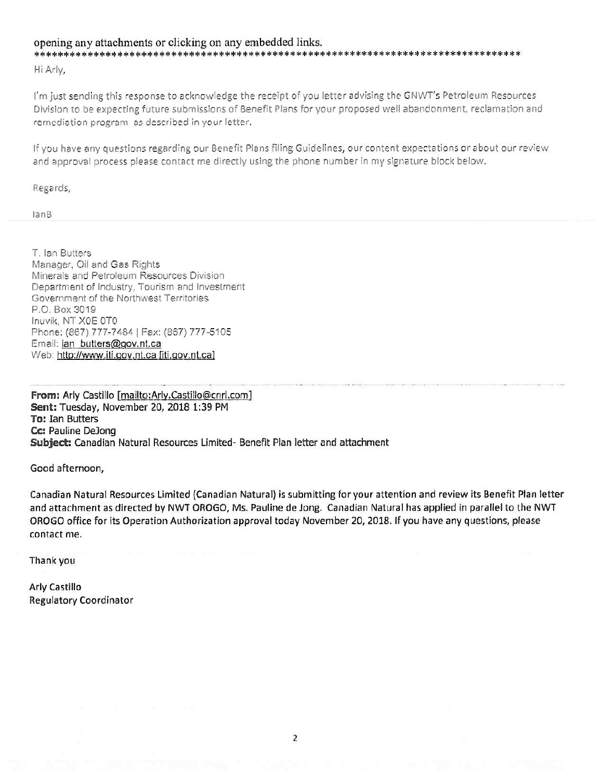#### opening any attachments or clicking on any embedded links.

Hi Arly,

I'm just sending this response to acknowledge the receipt of you letter advising the GNWT's Petroleum Resources Division to be expecting future submissions of Benefit Plans for your proposed well abandonment, reclamation and remediation program as described in your letter.

If you have any questions regarding our Benefit Plans filing Guidelines, our content expectations or about our review and approval process please contact me directly using the phone number in my signature block below.

Regards,

 $lanB$ 

T. Ian Butters Manager, Oil and Gas Rights Minerals and Petroleum Resources Division Department of Industry, Tourism and Investment Government of the Northwest Territories P.O. Box 3019 Inuvik, NT X0E 0T0 Phone: (867) 777-7484 | Fax: (867) 777-5105 Email: ian butters@gov.nt.ca Web: http://www.iti.gov.nt.ca [iti.gov.nt.ca]

From: Arly Castillo [mailto:Arly.Castillo@cnrl.com] Sent: Tuesday, November 20, 2018 1:39 PM **To: Ian Butters** Cc: Pauline DeJong Subject: Canadian Natural Resources Limited- Benefit Plan letter and attachment

Good afternoon,

Canadian Natural Resources Limited (Canadian Natural) is submitting for your attention and review its Benefit Plan letter and attachment as directed by NWT OROGO, Ms. Pauline de Jong. Canadian Natural has applied in parallel to the NWT OROGO office for its Operation Authorization approval today November 20, 2018. If you have any questions, please contact me.

Thank you

**Arly Castillo Regulatory Coordinator**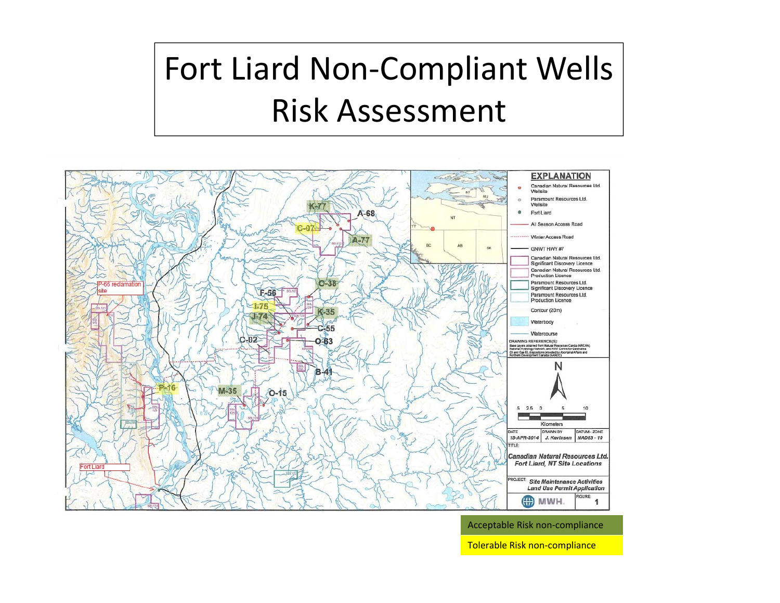# Fort Liard Non‐Compliant Wells Risk Assessment



Acceptable Risk non‐compliance

Tolerable Risk non‐compliance